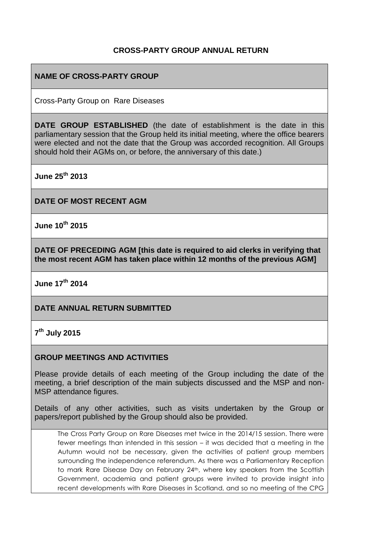# **CROSS-PARTY GROUP ANNUAL RETURN**

# **NAME OF CROSS-PARTY GROUP**

Cross-Party Group on Rare Diseases

**DATE GROUP ESTABLISHED** (the date of establishment is the date in this parliamentary session that the Group held its initial meeting, where the office bearers were elected and not the date that the Group was accorded recognition. All Groups should hold their AGMs on, or before, the anniversary of this date.)

**June 25th 2013**

**DATE OF MOST RECENT AGM**

**June 10th 2015**

**DATE OF PRECEDING AGM [this date is required to aid clerks in verifying that the most recent AGM has taken place within 12 months of the previous AGM]**

**June 17th 2014**

## **DATE ANNUAL RETURN SUBMITTED**

## **7 th July 2015**

### **GROUP MEETINGS AND ACTIVITIES**

Please provide details of each meeting of the Group including the date of the meeting, a brief description of the main subjects discussed and the MSP and non-MSP attendance figures.

Details of any other activities, such as visits undertaken by the Group or papers/report published by the Group should also be provided.

The Cross Party Group on Rare Diseases met twice in the 2014/15 session. There were fewer meetings than intended in this session – it was decided that a meeting in the Autumn would not be necessary, given the activities of patient group members surrounding the independence referendum. As there was a Parliamentary Reception to mark Rare Disease Day on February 24<sup>th</sup>, where key speakers from the Scottish Government, academia and patient groups were invited to provide insight into recent developments with Rare Diseases in Scotland, and so no meeting of the CPG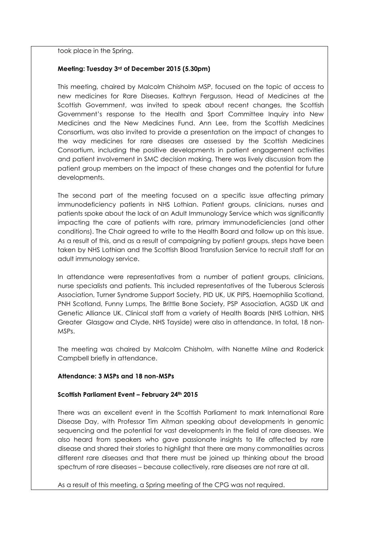took place in the Spring.

### **Meeting: Tuesday 3rd of December 2015 (5.30pm)**

This meeting, chaired by Malcolm Chisholm MSP, focused on the topic of access to new medicines for Rare Diseases. Kathryn Fergusson, Head of Medicines at the Scottish Government, was invited to speak about recent changes, the Scottish Government's response to the Health and Sport Committee Inquiry into New Medicines and the New Medicines Fund. Ann Lee, from the Scottish Medicines Consortium, was also invited to provide a presentation on the impact of changes to the way medicines for rare diseases are assessed by the Scottish Medicines Consortium, including the positive developments in patient engagement activities and patient involvement in SMC decision making. There was lively discussion from the patient group members on the impact of these changes and the potential for future developments.

The second part of the meeting focused on a specific issue affecting primary immunodeficiency patients in NHS Lothian. Patient groups, clinicians, nurses and patients spoke about the lack of an Adult Immunology Service which was significantly impacting the care of patients with rare, primary immunodeficiencies (and other conditions). The Chair agreed to write to the Health Board and follow up on this issue. As a result of this, and as a result of campaigning by patient groups, steps have been taken by NHS Lothian and the Scottish Blood Transfusion Service to recruit staff for an adult immunology service.

In attendance were representatives from a number of patient groups, clinicians, nurse specialists and patients. This included representatives of the Tuberous Sclerosis Association, Turner Syndrome Support Society, PID UK, UK PIPS, Haemophilia Scotland, PNH Scotland, Funny Lumps, The Brittle Bone Society, PSP Association, AGSD UK and Genetic Alliance UK. Clinical staff from a variety of Health Boards (NHS Lothian, NHS Greater Glasgow and Clyde, NHS Tayside) were also in attendance. In total, 18 non-MSPs.

The meeting was chaired by Malcolm Chisholm, with Nanette Milne and Roderick Campbell briefly in attendance.

### **Attendance: 3 MSPs and 18 non-MSPs**

### **Scottish Parliament Event – February 24th 2015**

There was an excellent event in the Scottish Parliament to mark International Rare Disease Day, with Professor Tim Aitman speaking about developments in genomic sequencing and the potential for vast developments in the field of rare diseases. We also heard from speakers who gave passionate insights to life affected by rare disease and shared their stories to highlight that there are many commonalities across different rare diseases and that there must be joined up thinking about the broad spectrum of rare diseases – because collectively, rare diseases are not rare at all.

As a result of this meeting, a Spring meeting of the CPG was not required.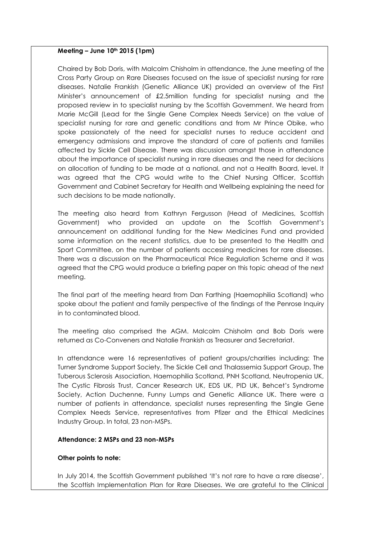### **Meeting – June 10th 2015 (1pm)**

Chaired by Bob Doris, with Malcolm Chisholm in attendance, the June meeting of the Cross Party Group on Rare Diseases focused on the issue of specialist nursing for rare diseases. Natalie Frankish (Genetic Alliance UK) provided an overview of the First Minister's announcement of £2.5million funding for specialist nursing and the proposed review in to specialist nursing by the Scottish Government. We heard from Marie McGill (Lead for the Single Gene Complex Needs Service) on the value of specialist nursing for rare and genetic conditions and from Mr Prince Obike, who spoke passionately of the need for specialist nurses to reduce accident and emergency admissions and improve the standard of care of patients and families affected by Sickle Cell Disease. There was discussion amongst those in attendance about the importance of specialist nursing in rare diseases and the need for decisions on allocation of funding to be made at a national, and not a Health Board, level. It was agreed that the CPG would write to the Chief Nursing Officer, Scottish Government and Cabinet Secretary for Health and Wellbeing explaining the need for such decisions to be made nationally.

The meeting also heard from Kathryn Fergusson (Head of Medicines, Scottish Government) who provided an update on the Scottish Government's announcement on additional funding for the New Medicines Fund and provided some information on the recent statistics, due to be presented to the Health and Sport Committee, on the number of patients accessing medicines for rare diseases. There was a discussion on the Pharmaceutical Price Regulation Scheme and it was agreed that the CPG would produce a briefing paper on this topic ahead of the next meeting.

The final part of the meeting heard from Dan Farthing (Haemophilia Scotland) who spoke about the patient and family perspective of the findings of the Penrose Inquiry in to contaminated blood.

The meeting also comprised the AGM. Malcolm Chisholm and Bob Doris were returned as Co-Conveners and Natalie Frankish as Treasurer and Secretariat.

In attendance were 16 representatives of patient groups/charities including: The Turner Syndrome Support Society, The Sickle Cell and Thalassemia Support Group, The Tuberous Sclerosis Association, Haemophilia Scotland, PNH Scotland, Neutropenia UK, The Cystic Fibrosis Trust, Cancer Research UK, EDS UK, PID UK, Behcet's Syndrome Society, Action Duchenne, Funny Lumps and Genetic Alliance UK. There were a number of patients in attendance, specialist nurses representing the Single Gene Complex Needs Service, representatives from Pfizer and the Ethical Medicines Industry Group. In total, 23 non-MSPs.

### **Attendance: 2 MSPs and 23 non-MSPs**

#### **Other points to note:**

In July 2014, the Scottish Government published 'It's not rare to have a rare disease', the Scottish Implementation Plan for Rare Diseases. We are grateful to the Clinical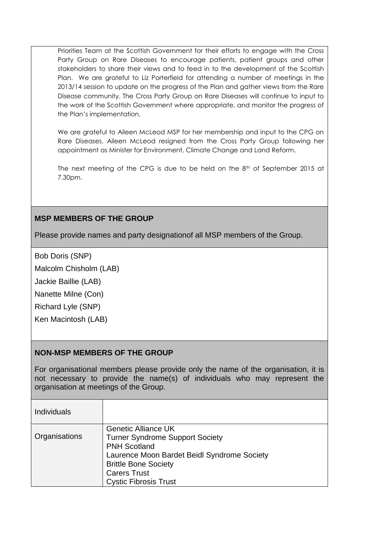Priorities Team at the Scottish Government for their efforts to engage with the Cross Party Group on Rare Diseases to encourage patients, patient groups and other stakeholders to share their views and to feed in to the development of the Scottish Plan. We are grateful to Liz Porterfield for attending a number of meetings in the 2013/14 session to update on the progress of the Plan and gather views from the Rare Disease community. The Cross Party Group on Rare Diseases will continue to input to the work of the Scottish Government where appropriate, and monitor the progress of the Plan's implementation.

We are grateful to Aileen McLeod MSP for her membership and input to the CPG on Rare Diseases. Aileen McLeod resigned from the Cross Party Group following her appointment as Minister for Environment, Climate Change and Land Reform.

The next meeting of the CPG is due to be held on the  $8<sup>th</sup>$  of September 2015 at 7.30pm.

# **MSP MEMBERS OF THE GROUP**

Please provide names and party designationof all MSP members of the Group.

Bob Doris (SNP)

Malcolm Chisholm (LAB)

Jackie Baillie (LAB)

Nanette Milne (Con)

Richard Lyle (SNP)

Ken Macintosh (LAB)

## **NON-MSP MEMBERS OF THE GROUP**

For organisational members please provide only the name of the organisation, it is not necessary to provide the name(s) of individuals who may represent the organisation at meetings of the Group.

| <b>Individuals</b> |                                             |
|--------------------|---------------------------------------------|
|                    | <b>Genetic Alliance UK</b>                  |
| Organisations      | <b>Turner Syndrome Support Society</b>      |
|                    | <b>PNH Scotland</b>                         |
|                    | Laurence Moon Bardet Beidl Syndrome Society |
|                    | <b>Brittle Bone Society</b>                 |
|                    | <b>Carers Trust</b>                         |
|                    | <b>Cystic Fibrosis Trust</b>                |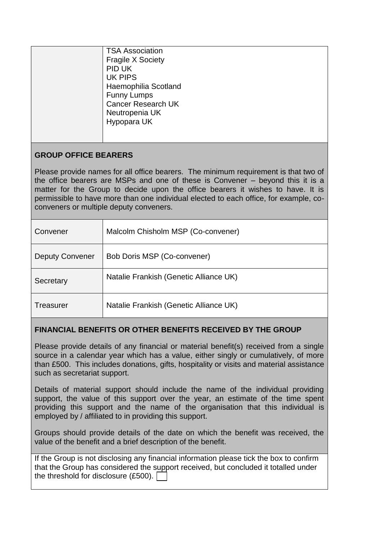| <b>TSA Association</b><br><b>Fragile X Society</b><br>PID UK<br><b>UK PIPS</b><br>Haemophilia Scotland<br><b>Funny Lumps</b><br><b>Cancer Research UK</b><br>Neutropenia UK<br>Hypopara UK |
|--------------------------------------------------------------------------------------------------------------------------------------------------------------------------------------------|
|                                                                                                                                                                                            |

# **GROUP OFFICE BEARERS**

Please provide names for all office bearers. The minimum requirement is that two of the office bearers are MSPs and one of these is Convener – beyond this it is a matter for the Group to decide upon the office bearers it wishes to have. It is permissible to have more than one individual elected to each office, for example, coconveners or multiple deputy conveners.

| Convener               | Malcolm Chisholm MSP (Co-convener)     |
|------------------------|----------------------------------------|
| <b>Deputy Convener</b> | Bob Doris MSP (Co-convener)            |
| Secretary              | Natalie Frankish (Genetic Alliance UK) |
| Treasurer              | Natalie Frankish (Genetic Alliance UK) |

# **FINANCIAL BENEFITS OR OTHER BENEFITS RECEIVED BY THE GROUP**

Please provide details of any financial or material benefit(s) received from a single source in a calendar year which has a value, either singly or cumulatively, of more than £500. This includes donations, gifts, hospitality or visits and material assistance such as secretariat support.

Details of material support should include the name of the individual providing support, the value of this support over the year, an estimate of the time spent providing this support and the name of the organisation that this individual is employed by / affiliated to in providing this support.

Groups should provide details of the date on which the benefit was received, the value of the benefit and a brief description of the benefit.

If the Group is not disclosing any financial information please tick the box to confirm that the Group has considered the support received, but concluded it totalled under the threshold for disclosure (£500).